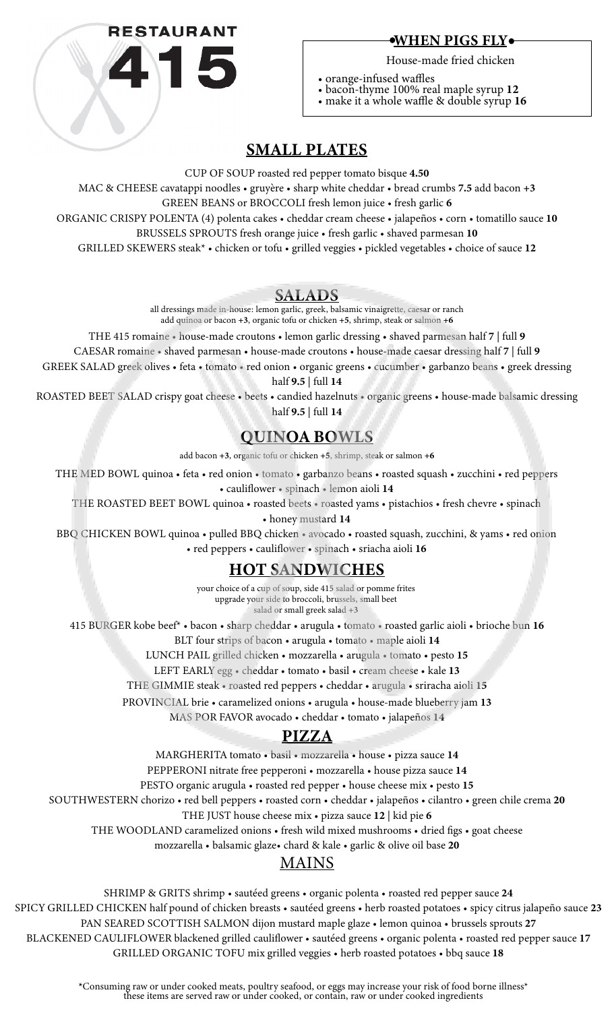

#### $\bullet$ WHEN PIGS FLY $\bullet$

House-made fried chicken

• orange-infused waffles

• bacon-thyme 100% real maple syrup 12

• make it a whole waffle & double syrup 16

# SMALL PLATES

CUP OF SOUP roasted red pepper tomato bisque 4.50

MAC & CHEESE cavatappi noodles • gruyère • sharp white cheddar • bread crumbs 7.5 add bacon +3 GREEN BEANS or BROCCOLI fresh lemon juice • fresh garlic 6

ORGANIC CRISPY POLENTA (4) polenta cakes • cheddar cream cheese • jalapeños • corn • tomatillo sauce 10

BRUSSELS SPROUTS fresh orange juice • fresh garlic • shaved parmesan 10

GRILLED SKEWERS steak\* • chicken or tofu • grilled veggies • pickled vegetables • choice of sauce 12

## SALADS

all dressings made in-house: lemon garlic, greek, balsamic vinaigrette, caesar or ranch add quinoa or bacon +3, organic tofu or chicken +5, shrimp, steak or salmon +6

THE 415 romaine • house-made croutons • lemon garlic dressing • shaved parmesan half 7 | full 9

CAESAR romaine • shaved parmesan • house-made croutons • house-made caesar dressing half 7 | full 9

GREEK SALAD greek olives • feta • tomato • red onion • organic greens • cucumber • garbanzo beans • greek dressing half 9.5 | full 14

ROASTED BEET SALAD crispy goat cheese • beets • candied hazelnuts • organic greens • house-made balsamic dressing half 9.5 | full 14

# QUINOA BOWLS

add bacon +3, organic tofu or chicken +5, shrimp, steak or salmon +6

THE MED BOWL quinoa • feta • red onion • tomato • garbanzo beans • roasted squash • zucchini • red peppers

• cauliflower • spinach • lemon aioli 14

THE ROASTED BEET BOWL quinoa • roasted beets • roasted yams • pistachios • fresh chevre • spinach

• honey mustard 14

BBQ CHICKEN BOWL quinoa • pulled BBQ chicken • avocado • roasted squash, zucchini, & yams • red onion • red peppers • cauliflower • spinach • sriacha aioli 16

## **HOT SANDWICHES**

your choice of a cup of soup, side 415 salad or pomme frites upgrade your side to broccoli, brussels, small beet salad or small greek salad +3

415 BURGER kobe beef\* • bacon • sharp cheddar • arugula • tomato • roasted garlic aioli • brioche bun 16

BLT four strips of bacon • arugula • tomato • maple aioli 14

LUNCH PAIL grilled chicken • mozzarella • arugula • tomato • pesto 15

LEFT EARLY egg · cheddar · tomato · basil · cream cheese · kale 13

THE GIMMIE steak • roasted red peppers • cheddar • arugula • sriracha aioli 15

PROVINCIAL brie • caramelized onions • arugula • house-made blueberry jam 13

MAS POR FAVOR avocado • cheddar • tomato • jalapeños 14

# PIZZA

MARGHERITA tomato • basil • mozzarella • house • pizza sauce 14

PEPPERONI nitrate free pepperoni • mozzarella • house pizza sauce 14

PESTO organic arugula • roasted red pepper • house cheese mix • pesto 15

SOUTHWESTERN chorizo • red bell peppers • roasted corn • cheddar • jalapeños • cilantro • green chile crema 20

THE JUST house cheese mix · pizza sauce 12 | kid pie 6

THE WOODLAND caramelized onions • fresh wild mixed mushrooms • dried figs • goat cheese

mozzarella • balsamic glaze• chard & kale • garlic & olive oil base 20

# MAINS

SHRIMP & GRITS shrimp • sautéed greens • organic polenta • roasted red pepper sauce 24

SPICY GRILLED CHICKEN half pound of chicken breasts • sautéed greens • herb roasted potatoes • spicy citrus jalapeño sauce 23

PAN SEARED SCOTTISH SALMON dijon mustard maple glaze · lemon quinoa · brussels sprouts 27 BLACKENED CAULIFLOWER blackened grilled cauliflower • sautéed greens • organic polenta • roasted red pepper sauce 17 GRILLED ORGANIC TOFU mix grilled veggies • herb roasted potatoes • bbq sauce 18

\*Consuming raw or under cooked meats, poultry seafood, or eggs may increase your risk of food borne illness\* these items are served raw or under cooked, or contain, raw or under cooked ingredients